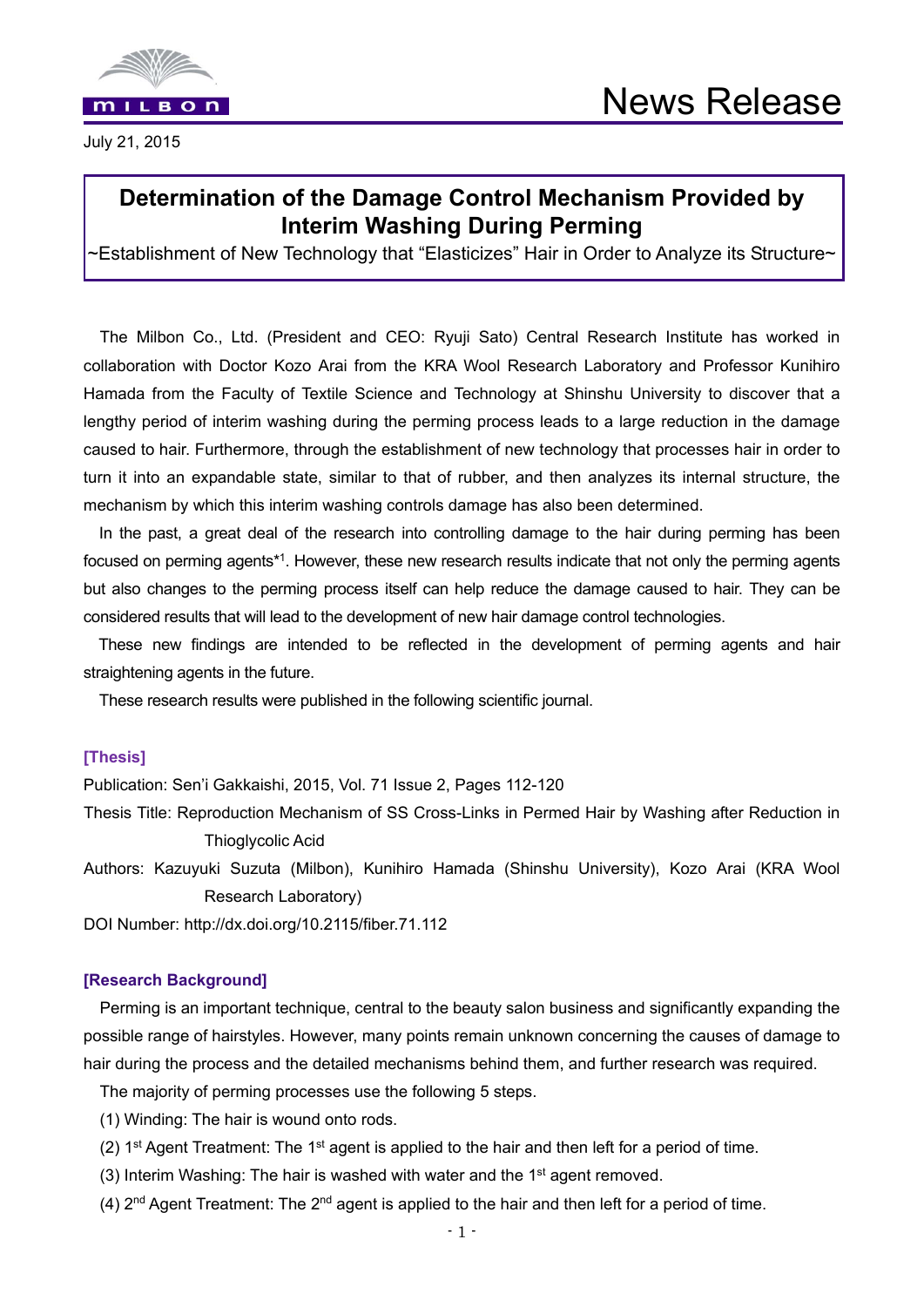

July 21, 2015

# **Determination of the Damage Control Mechanism Provided by Interim Washing During Perming**

~Establishment of New Technology that "Elasticizes" Hair in Order to Analyze its Structure~

The Milbon Co., Ltd. (President and CEO: Ryuji Sato) Central Research Institute has worked in collaboration with Doctor Kozo Arai from the KRA Wool Research Laboratory and Professor Kunihiro Hamada from the Faculty of Textile Science and Technology at Shinshu University to discover that a lengthy period of interim washing during the perming process leads to a large reduction in the damage caused to hair. Furthermore, through the establishment of new technology that processes hair in order to turn it into an expandable state, similar to that of rubber, and then analyzes its internal structure, the mechanism by which this interim washing controls damage has also been determined.

In the past, a great deal of the research into controlling damage to the hair during perming has been focused on perming agents\*1. However, these new research results indicate that not only the perming agents but also changes to the perming process itself can help reduce the damage caused to hair. They can be considered results that will lead to the development of new hair damage control technologies.

 These new findings are intended to be reflected in the development of perming agents and hair straightening agents in the future.

These research results were published in the following scientific journal.

# **[Thesis]**

Publication: Sen'i Gakkaishi, 2015, Vol. 71 Issue 2, Pages 112-120

- Thesis Title: Reproduction Mechanism of SS Cross-Links in Permed Hair by Washing after Reduction in Thioglycolic Acid
- Authors: Kazuyuki Suzuta (Milbon), Kunihiro Hamada (Shinshu University), Kozo Arai (KRA Wool Research Laboratory)

DOI Number: http://dx.doi.org/10.2115/fiber.71.112

### **[Research Background]**

Perming is an important technique, central to the beauty salon business and significantly expanding the possible range of hairstyles. However, many points remain unknown concerning the causes of damage to hair during the process and the detailed mechanisms behind them, and further research was required.

The majority of perming processes use the following 5 steps.

- (1) Winding: The hair is wound onto rods.
- (2)  $1<sup>st</sup>$  Agent Treatment: The  $1<sup>st</sup>$  agent is applied to the hair and then left for a period of time.
- (3) Interim Washing: The hair is washed with water and the 1<sup>st</sup> agent removed.
- (4) 2nd Agent Treatment: The 2nd agent is applied to the hair and then left for a period of time.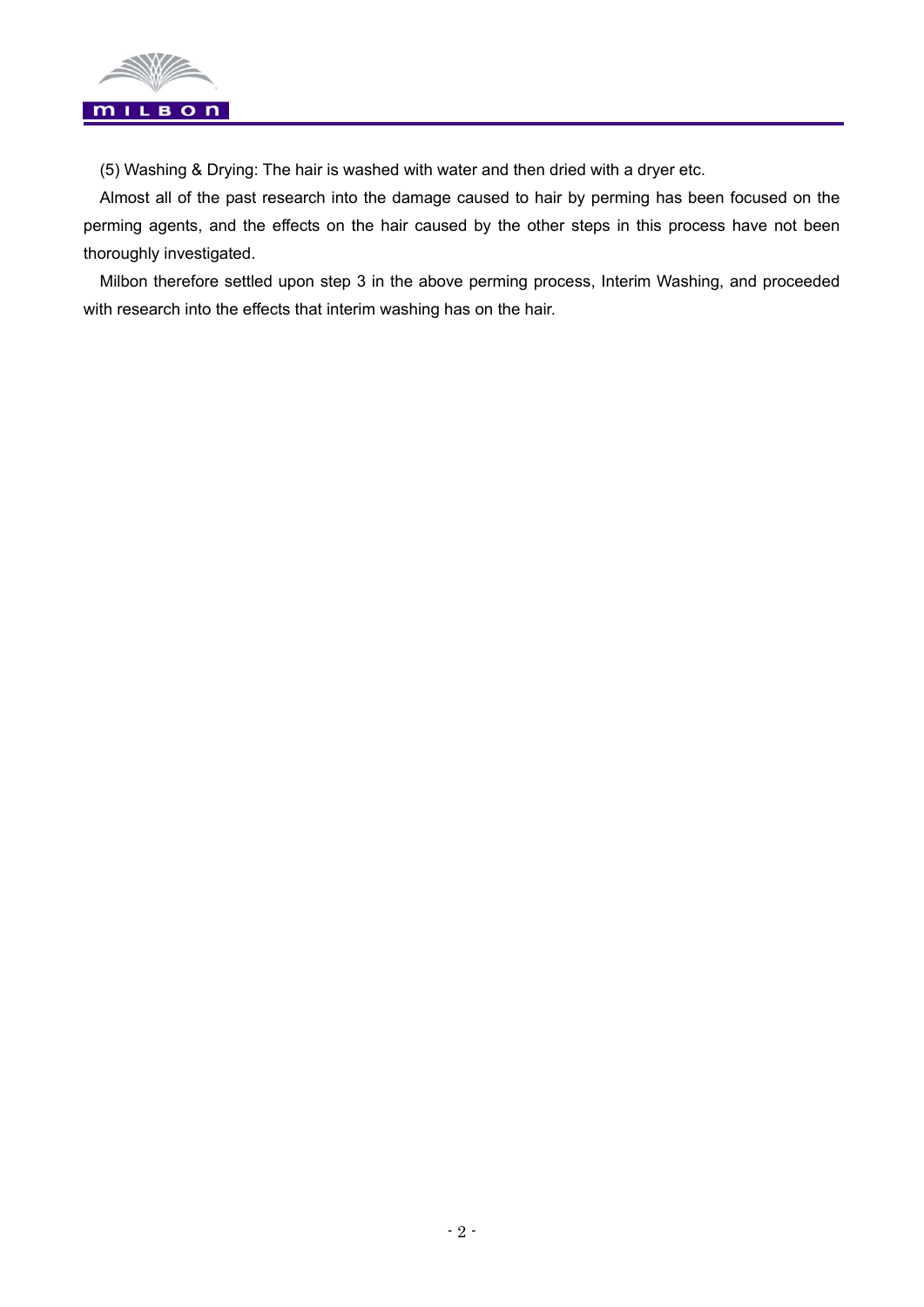

(5) Washing & Drying: The hair is washed with water and then dried with a dryer etc.

Almost all of the past research into the damage caused to hair by perming has been focused on the perming agents, and the effects on the hair caused by the other steps in this process have not been thoroughly investigated.

Milbon therefore settled upon step 3 in the above perming process, Interim Washing, and proceeded with research into the effects that interim washing has on the hair.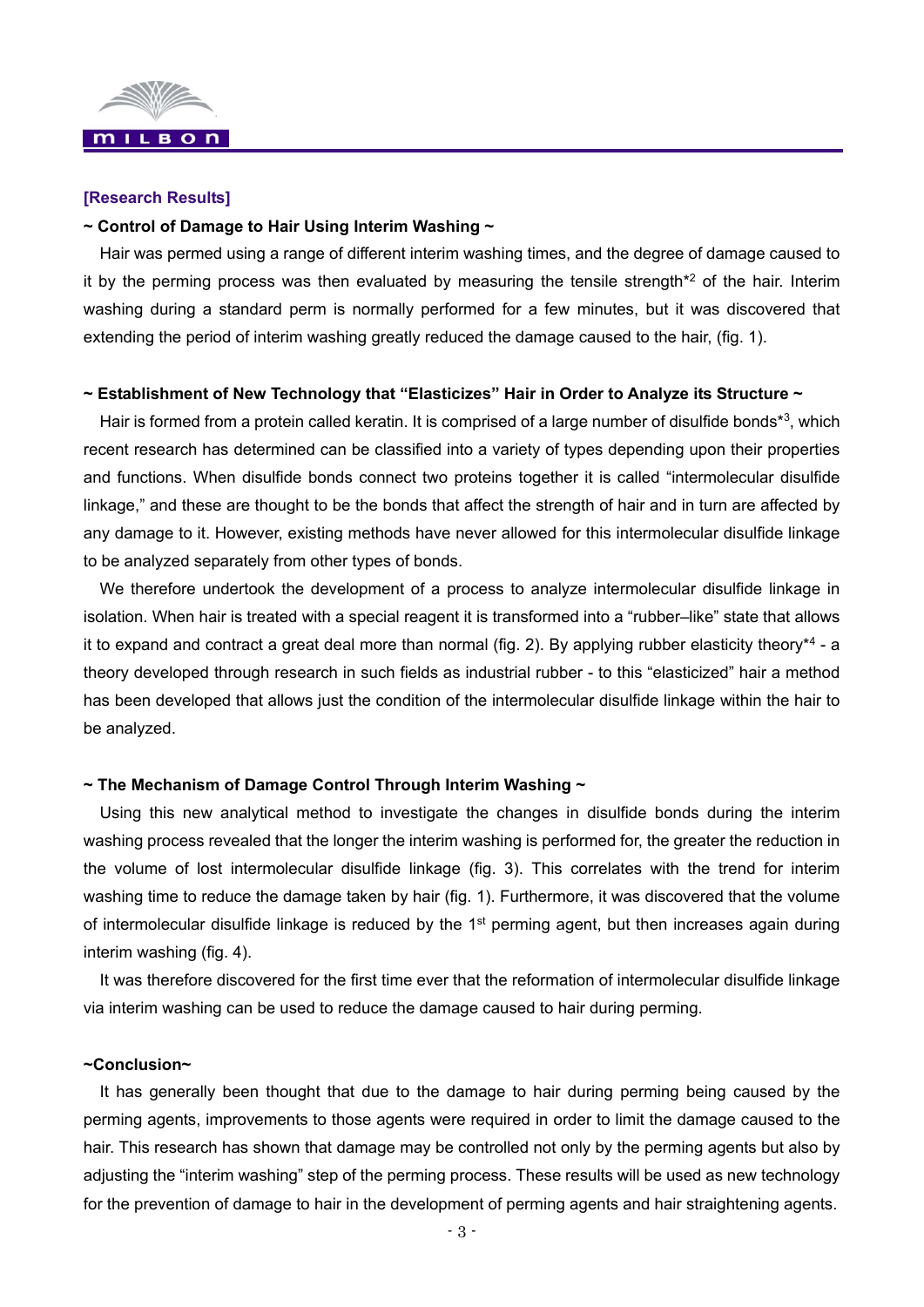

### **[Research Results]**

#### **~ Control of Damage to Hair Using Interim Washing ~**

Hair was permed using a range of different interim washing times, and the degree of damage caused to it by the perming process was then evaluated by measuring the tensile strength<sup>\*2</sup> of the hair. Interim washing during a standard perm is normally performed for a few minutes, but it was discovered that extending the period of interim washing greatly reduced the damage caused to the hair, (fig. 1).

### **~ Establishment of New Technology that "Elasticizes" Hair in Order to Analyze its Structure ~**

Hair is formed from a protein called keratin. It is comprised of a large number of disulfide bonds<sup>\*3</sup>, which recent research has determined can be classified into a variety of types depending upon their properties and functions. When disulfide bonds connect two proteins together it is called "intermolecular disulfide linkage," and these are thought to be the bonds that affect the strength of hair and in turn are affected by any damage to it. However, existing methods have never allowed for this intermolecular disulfide linkage to be analyzed separately from other types of bonds.

We therefore undertook the development of a process to analyze intermolecular disulfide linkage in isolation. When hair is treated with a special reagent it is transformed into a "rubber–like" state that allows it to expand and contract a great deal more than normal (fig. 2). By applying rubber elasticity theory<sup>\*4</sup> - a theory developed through research in such fields as industrial rubber - to this "elasticized" hair a method has been developed that allows just the condition of the intermolecular disulfide linkage within the hair to be analyzed.

#### **~ The Mechanism of Damage Control Through Interim Washing ~**

Using this new analytical method to investigate the changes in disulfide bonds during the interim washing process revealed that the longer the interim washing is performed for, the greater the reduction in the volume of lost intermolecular disulfide linkage (fig. 3). This correlates with the trend for interim washing time to reduce the damage taken by hair (fig. 1). Furthermore, it was discovered that the volume of intermolecular disulfide linkage is reduced by the 1<sup>st</sup> perming agent, but then increases again during interim washing (fig. 4).

It was therefore discovered for the first time ever that the reformation of intermolecular disulfide linkage via interim washing can be used to reduce the damage caused to hair during perming.

### **~Conclusion~**

It has generally been thought that due to the damage to hair during perming being caused by the perming agents, improvements to those agents were required in order to limit the damage caused to the hair. This research has shown that damage may be controlled not only by the perming agents but also by adjusting the "interim washing" step of the perming process. These results will be used as new technology for the prevention of damage to hair in the development of perming agents and hair straightening agents.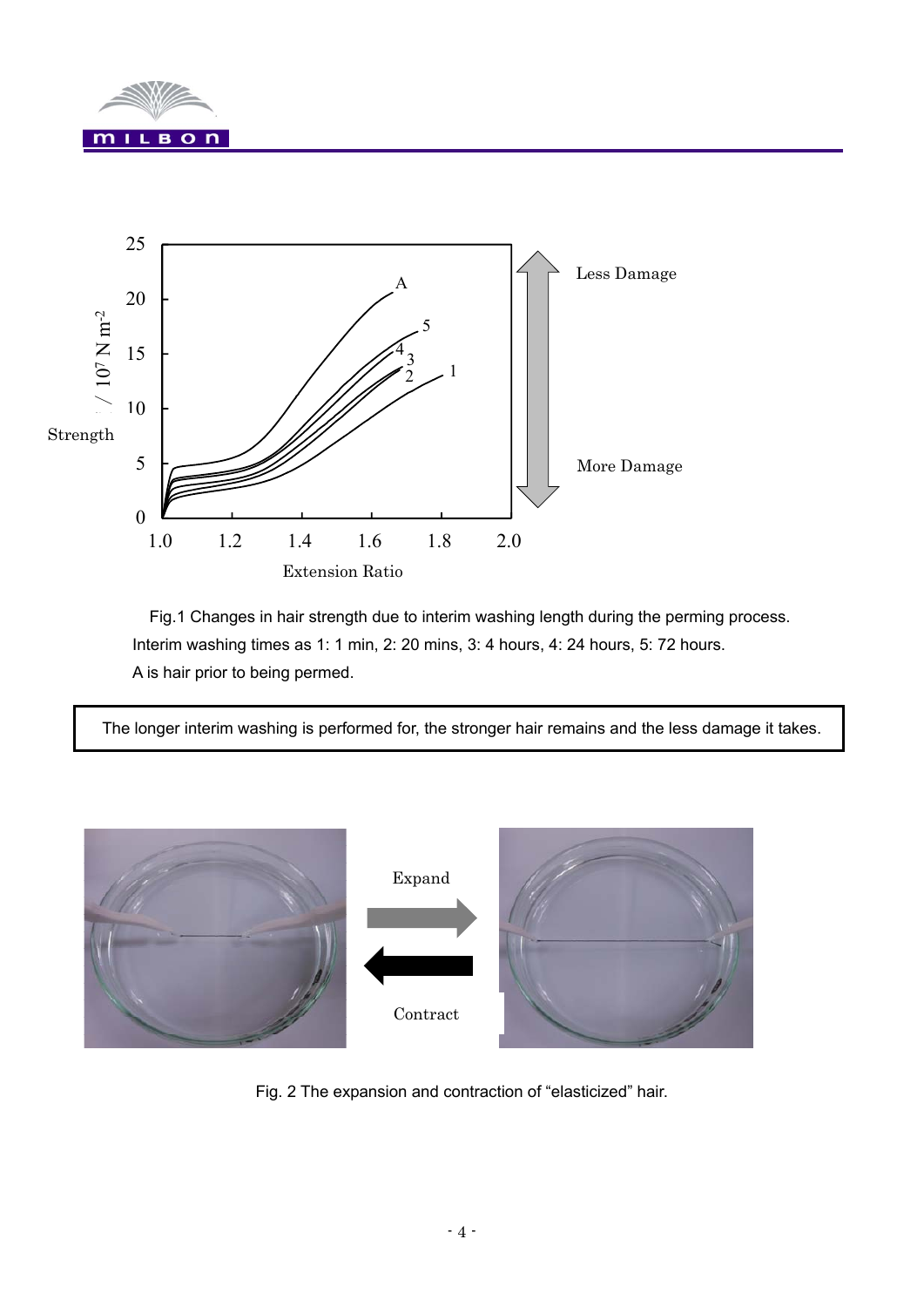



Fig.1 Changes in hair strength due to interim washing length during the perming process. Interim washing times as 1: 1 min, 2: 20 mins, 3: 4 hours, 4: 24 hours, 5: 72 hours. A is hair prior to being permed.

The longer interim washing is performed for, the stronger hair remains and the less damage it takes.



Fig. 2 The expansion and contraction of "elasticized" hair.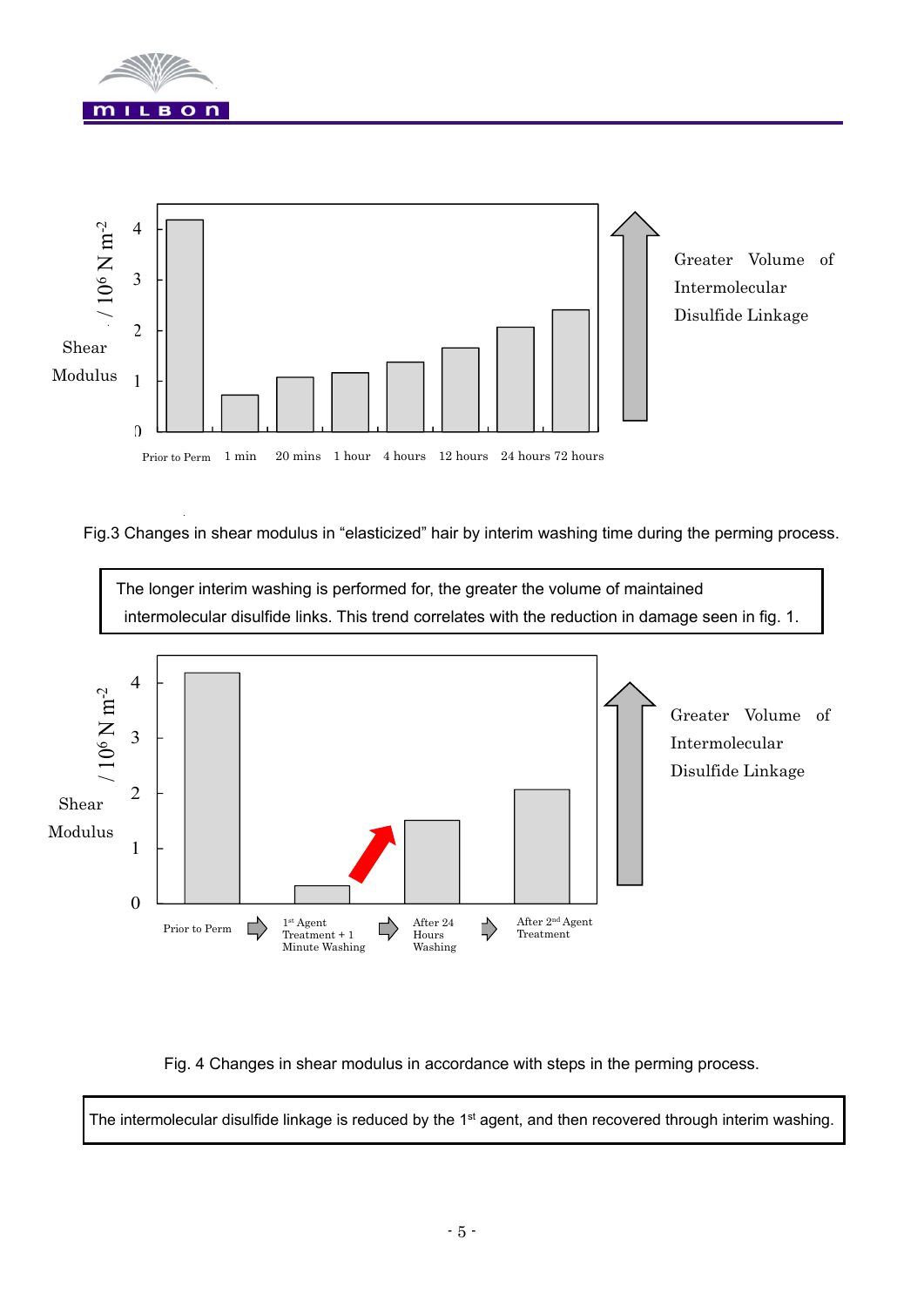



Fig.3 Changes in shear modulus in "elasticized" hair by interim washing time during the perming process.



Fig. 4 Changes in shear modulus in accordance with steps in the perming process.

The intermolecular disulfide linkage is reduced by the 1<sup>st</sup> agent, and then recovered through interim washing.